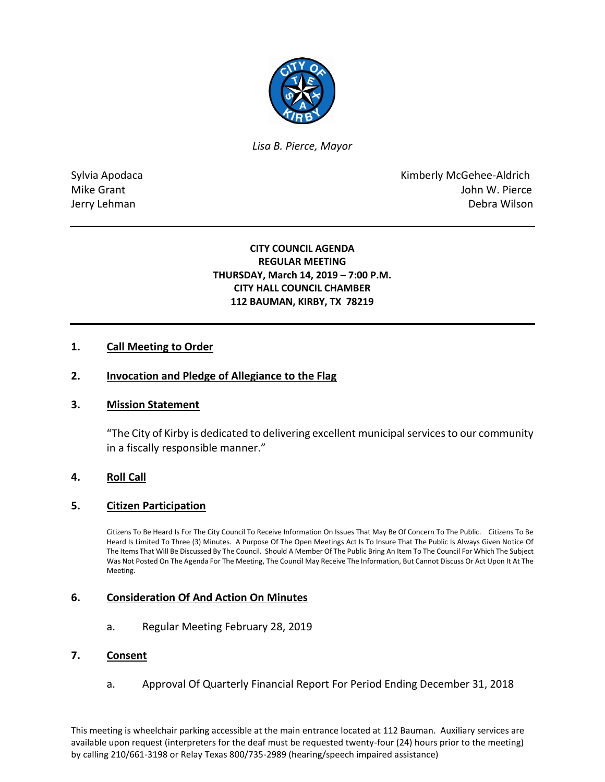

*Lisa B. Pierce, Mayor* 

Sylvia Apodaca **Kimberly McGehee-Aldrich** Mike Grant **Mike Grant** John W. Pierce Jerry Lehman Debra Wilson

## **CITY COUNCIL AGENDA REGULAR MEETING THURSDAY, March 14, 2019 – 7:00 P.M. CITY HALL COUNCIL CHAMBER 112 BAUMAN, KIRBY, TX 78219**

## **1. Call Meeting to Order**

#### **2. Invocation and Pledge of Allegiance to the Flag**

#### **3. Mission Statement**

"The City of Kirby is dedicated to delivering excellent municipal services to our community in a fiscally responsible manner."

#### **4. Roll Call**

#### **5. Citizen Participation**

Citizens To Be Heard Is For The City Council To Receive Information On Issues That May Be Of Concern To The Public. Citizens To Be Heard Is Limited To Three (3) Minutes. A Purpose Of The Open Meetings Act Is To Insure That The Public Is Always Given Notice Of The Items That Will Be Discussed By The Council. Should A Member Of The Public Bring An Item To The Council For Which The Subject Was Not Posted On The Agenda For The Meeting, The Council May Receive The Information, But Cannot Discuss Or Act Upon It At The Meeting.

#### **6. Consideration Of And Action On Minutes**

a. Regular Meeting February 28, 2019

#### **7. Consent**

a. Approval Of Quarterly Financial Report For Period Ending December 31, 2018

This meeting is wheelchair parking accessible at the main entrance located at 112 Bauman. Auxiliary services are available upon request (interpreters for the deaf must be requested twenty-four (24) hours prior to the meeting) by calling 210/661-3198 or Relay Texas 800/735-2989 (hearing/speech impaired assistance)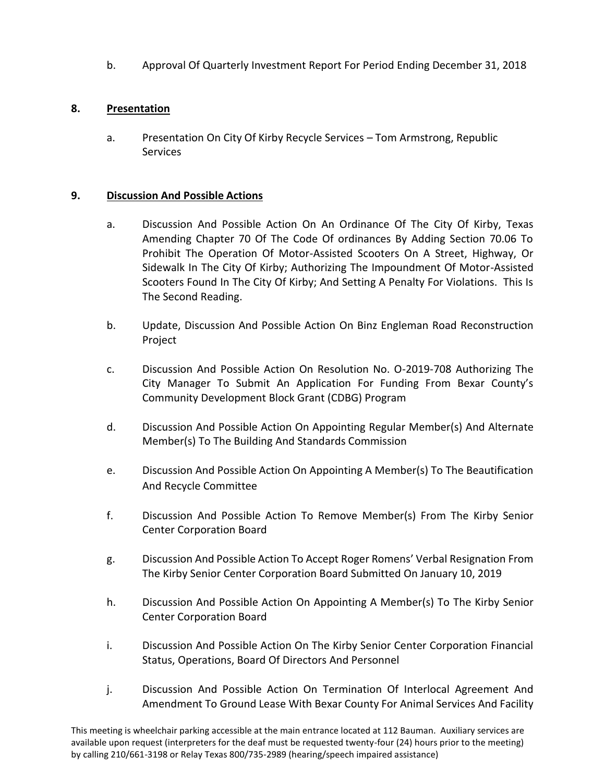b. Approval Of Quarterly Investment Report For Period Ending December 31, 2018

# **8. Presentation**

a. Presentation On City Of Kirby Recycle Services – Tom Armstrong, Republic Services

# **9. Discussion And Possible Actions**

- a. Discussion And Possible Action On An Ordinance Of The City Of Kirby, Texas Amending Chapter 70 Of The Code Of ordinances By Adding Section 70.06 To Prohibit The Operation Of Motor-Assisted Scooters On A Street, Highway, Or Sidewalk In The City Of Kirby; Authorizing The Impoundment Of Motor-Assisted Scooters Found In The City Of Kirby; And Setting A Penalty For Violations. This Is The Second Reading.
- b. Update, Discussion And Possible Action On Binz Engleman Road Reconstruction Project
- c. Discussion And Possible Action On Resolution No. O-2019-708 Authorizing The City Manager To Submit An Application For Funding From Bexar County's Community Development Block Grant (CDBG) Program
- d. Discussion And Possible Action On Appointing Regular Member(s) And Alternate Member(s) To The Building And Standards Commission
- e. Discussion And Possible Action On Appointing A Member(s) To The Beautification And Recycle Committee
- f. Discussion And Possible Action To Remove Member(s) From The Kirby Senior Center Corporation Board
- g. Discussion And Possible Action To Accept Roger Romens' Verbal Resignation From The Kirby Senior Center Corporation Board Submitted On January 10, 2019
- h. Discussion And Possible Action On Appointing A Member(s) To The Kirby Senior Center Corporation Board
- i. Discussion And Possible Action On The Kirby Senior Center Corporation Financial Status, Operations, Board Of Directors And Personnel
- j. Discussion And Possible Action On Termination Of Interlocal Agreement And Amendment To Ground Lease With Bexar County For Animal Services And Facility

This meeting is wheelchair parking accessible at the main entrance located at 112 Bauman. Auxiliary services are available upon request (interpreters for the deaf must be requested twenty-four (24) hours prior to the meeting) by calling 210/661-3198 or Relay Texas 800/735-2989 (hearing/speech impaired assistance)